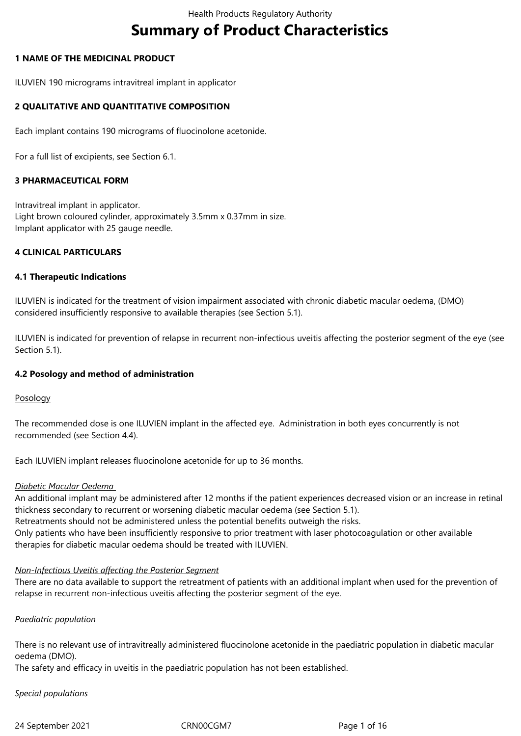# **Summary of Product Characteristics**

#### **1 NAME OF THE MEDICINAL PRODUCT**

ILUVIEN 190 micrograms intravitreal implant in applicator

## **2 QUALITATIVE AND QUANTITATIVE COMPOSITION**

Each implant contains 190 micrograms of fluocinolone acetonide.

For a full list of excipients, see Section 6.1.

#### **3 PHARMACEUTICAL FORM**

Intravitreal implant in applicator. Light brown coloured cylinder, approximately 3.5mm x 0.37mm in size. Implant applicator with 25 gauge needle.

#### **4 CLINICAL PARTICULARS**

#### **4.1 Therapeutic Indications**

ILUVIEN is indicated for the treatment of vision impairment associated with chronic diabetic macular oedema, (DMO) considered insufficiently responsive to available therapies (see Section 5.1).

ILUVIEN is indicated for prevention of relapse in recurrent non-infectious uveitis affecting the posterior segment of the eye (see Section 5.1).

#### **4.2 Posology and method of administration**

Posology

The recommended dose is one ILUVIEN implant in the affected eye. Administration in both eyes concurrently is not recommended (see Section 4.4).

Each ILUVIEN implant releases fluocinolone acetonide for up to 36 months.

#### *Diabetic Macular Oedema*

An additional implant may be administered after 12 months if the patient experiences decreased vision or an increase in retinal thickness secondary to recurrent or worsening diabetic macular oedema (see Section 5.1). Retreatments should not be administered unless the potential benefits outweigh the risks. Only patients who have been insufficiently responsive to prior treatment with laser photocoagulation or other available therapies for diabetic macular oedema should be treated with ILUVIEN.

#### *Non-Infectious Uveitis affecting the Posterior Segment*

There are no data available to support the retreatment of patients with an additional implant when used for the prevention of relapse in recurrent non-infectious uveitis affecting the posterior segment of the eye.

#### *Paediatric population*

There is no relevant use of intravitreally administered fluocinolone acetonide in the paediatric population in diabetic macular oedema (DMO).

The safety and efficacy in uveitis in the paediatric population has not been established.

#### *Special populations*

24 September 2021 CRN00CGM7 Page 1 of 16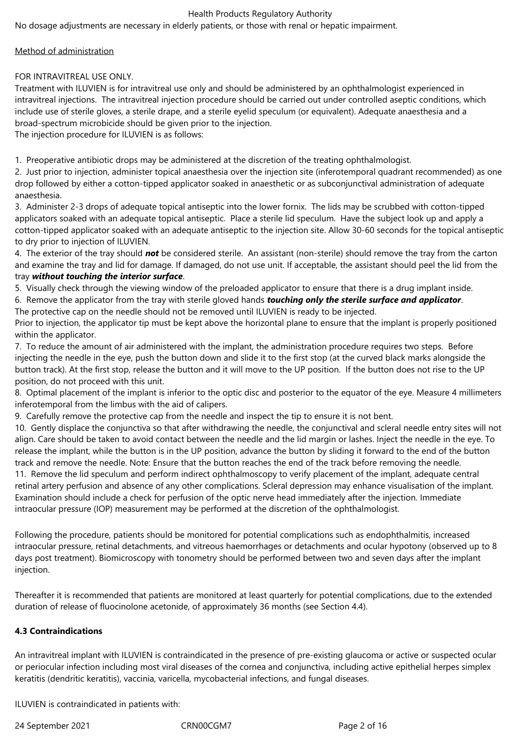No dosage adjustments are necessary in elderly patients, or those with renal or hepatic impairment.

#### Method of administration

FOR INTRAVITREAL USE ONLY.

Treatment with ILUVIEN is for intravitreal use only and should be administered by an ophthalmologist experienced in intravitreal injections. The intravitreal injection procedure should be carried out under controlled aseptic conditions, which include use of sterile gloves, a sterile drape, and a sterile eyelid speculum (or equivalent). Adequate anaesthesia and a broad-spectrum microbicide should be given prior to the injection.

The injection procedure for ILUVIEN is as follows:

1. Preoperative antibiotic drops may be administered at the discretion of the treating ophthalmologist.

2. Just prior to injection, administer topical anaesthesia over the injection site (inferotemporal quadrant recommended) as one drop followed by either a cotton-tipped applicator soaked in anaesthetic or as subconjunctival administration of adequate anaesthesia.

3. Administer 2-3 drops of adequate topical antiseptic into the lower fornix. The lids may be scrubbed with cotton-tipped applicators soaked with an adequate topical antiseptic. Place a sterile lid speculum. Have the subject look up and apply a cotton-tipped applicator soaked with an adequate antiseptic to the injection site. Allow 30-60 seconds for the topical antiseptic to dry prior to injection of ILUVIEN.

4. The exterior of the tray should *not* be considered sterile. An assistant (non-sterile) should remove the tray from the carton and examine the tray and lid for damage. If damaged, do not use unit. If acceptable, the assistant should peel the lid from the tray *without touching the interior surface*.

5. Visually check through the viewing window of the preloaded applicator to ensure that there is a drug implant inside.

6. Remove the applicator from the tray with sterile gloved hands *touching only the sterile surface and applicator*.

The protective cap on the needle should not be removed until ILUVIEN is ready to be injected.

Prior to injection, the applicator tip must be kept above the horizontal plane to ensure that the implant is properly positioned within the applicator.

7. To reduce the amount of air administered with the implant, the administration procedure requires two steps. Before injecting the needle in the eye, push the button down and slide it to the first stop (at the curved black marks alongside the button track). At the first stop, release the button and it will move to the UP position. If the button does not rise to the UP position, do not proceed with this unit.

8. Optimal placement of the implant is inferior to the optic disc and posterior to the equator of the eye. Measure 4 millimeters inferotemporal from the limbus with the aid of calipers.

9. Carefully remove the protective cap from the needle and inspect the tip to ensure it is not bent.

10. Gently displace the conjunctiva so that after withdrawing the needle, the conjunctival and scleral needle entry sites will not align. Care should be taken to avoid contact between the needle and the lid margin or lashes. Inject the needle in the eye. To release the implant, while the button is in the UP position, advance the button by sliding it forward to the end of the button track and remove the needle. Note: Ensure that the button reaches the end of the track before removing the needle. 11. Remove the lid speculum and perform indirect ophthalmoscopy to verify placement of the implant, adequate central retinal artery perfusion and absence of any other complications. Scleral depression may enhance visualisation of the implant. Examination should include a check for perfusion of the optic nerve head immediately after the injection. Immediate intraocular pressure (IOP) measurement may be performed at the discretion of the ophthalmologist.

Following the procedure, patients should be monitored for potential complications such as endophthalmitis, increased intraocular pressure, retinal detachments, and vitreous haemorrhages or detachments and ocular hypotony (observed up to 8 days post treatment). Biomicroscopy with tonometry should be performed between two and seven days after the implant injection.

Thereafter it is recommended that patients are monitored at least quarterly for potential complications, due to the extended duration of release of fluocinolone acetonide, of approximately 36 months (see Section 4.4).

## **4.3 Contraindications**

An intravitreal implant with ILUVIEN is contraindicated in the presence of pre-existing glaucoma or active or suspected ocular or periocular infection including most viral diseases of the cornea and conjunctiva, including active epithelial herpes simplex keratitis (dendritic keratitis), vaccinia, varicella, mycobacterial infections, and fungal diseases.

ILUVIEN is contraindicated in patients with:

24 September 2021 CRN00CGM7 Page 2 of 16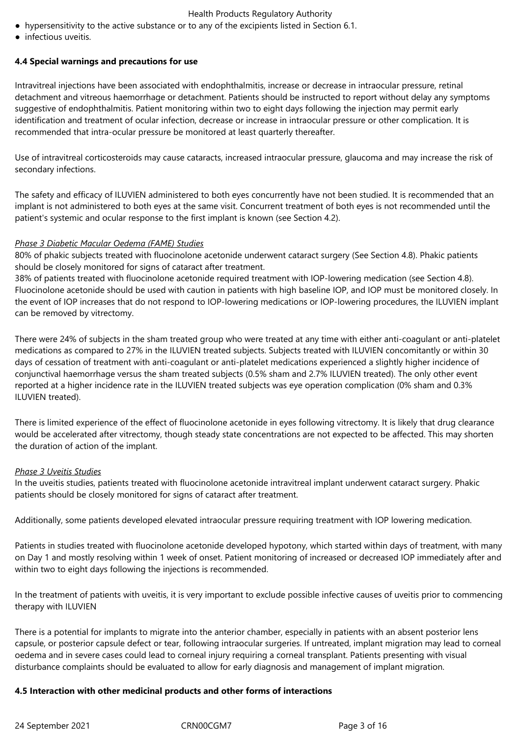- hypersensitivity to the active substance or to any of the excipients listed in Section 6.1.
- infectious uveitis.

#### **4.4 Special warnings and precautions for use**

Intravitreal injections have been associated with endophthalmitis, increase or decrease in intraocular pressure, retinal detachment and vitreous haemorrhage or detachment. Patients should be instructed to report without delay any symptoms suggestive of endophthalmitis. Patient monitoring within two to eight days following the injection may permit early identification and treatment of ocular infection, decrease or increase in intraocular pressure or other complication. It is recommended that intra-ocular pressure be monitored at least quarterly thereafter.

Use of intravitreal corticosteroids may cause cataracts, increased intraocular pressure, glaucoma and may increase the risk of secondary infections.

The safety and efficacy of ILUVIEN administered to both eyes concurrently have not been studied. It is recommended that an implant is not administered to both eyes at the same visit. Concurrent treatment of both eyes is not recommended until the patient's systemic and ocular response to the first implant is known (see Section 4.2).

#### *Phase 3 Diabetic Macular Oedema (FAME) Studies*

80% of phakic subjects treated with fluocinolone acetonide underwent cataract surgery (See Section 4.8). Phakic patients should be closely monitored for signs of cataract after treatment.

38% of patients treated with fluocinolone acetonide required treatment with IOP-lowering medication (see Section 4.8). Fluocinolone acetonide should be used with caution in patients with high baseline IOP, and IOP must be monitored closely. In the event of IOP increases that do not respond to IOP-lowering medications or IOP-lowering procedures, the ILUVIEN implant can be removed by vitrectomy.

There were 24% of subjects in the sham treated group who were treated at any time with either anti-coagulant or anti-platelet medications as compared to 27% in the ILUVIEN treated subjects. Subjects treated with ILUVIEN concomitantly or within 30 days of cessation of treatment with anti-coagulant or anti-platelet medications experienced a slightly higher incidence of conjunctival haemorrhage versus the sham treated subjects (0.5% sham and 2.7% ILUVIEN treated). The only other event reported at a higher incidence rate in the ILUVIEN treated subjects was eye operation complication (0% sham and 0.3% ILUVIEN treated).

There is limited experience of the effect of fluocinolone acetonide in eyes following vitrectomy. It is likely that drug clearance would be accelerated after vitrectomy, though steady state concentrations are not expected to be affected. This may shorten the duration of action of the implant.

#### *Phase 3 Uveitis Studies*

In the uveitis studies, patients treated with fluocinolone acetonide intravitreal implant underwent cataract surgery. Phakic patients should be closely monitored for signs of cataract after treatment.

Additionally, some patients developed elevated intraocular pressure requiring treatment with IOP lowering medication.

Patients in studies treated with fluocinolone acetonide developed hypotony, which started within days of treatment, with many on Day 1 and mostly resolving within 1 week of onset. Patient monitoring of increased or decreased IOP immediately after and within two to eight days following the injections is recommended.

In the treatment of patients with uveitis, it is very important to exclude possible infective causes of uveitis prior to commencing therapy with ILUVIEN

There is a potential for implants to migrate into the anterior chamber, especially in patients with an absent posterior lens capsule, or posterior capsule defect or tear, following intraocular surgeries. If untreated, implant migration may lead to corneal oedema and in severe cases could lead to corneal injury requiring a corneal transplant. Patients presenting with visual disturbance complaints should be evaluated to allow for early diagnosis and management of implant migration.

#### **4.5 Interaction with other medicinal products and other forms of interactions**

24 September 2021 CRN00CGM7 Page 3 of 16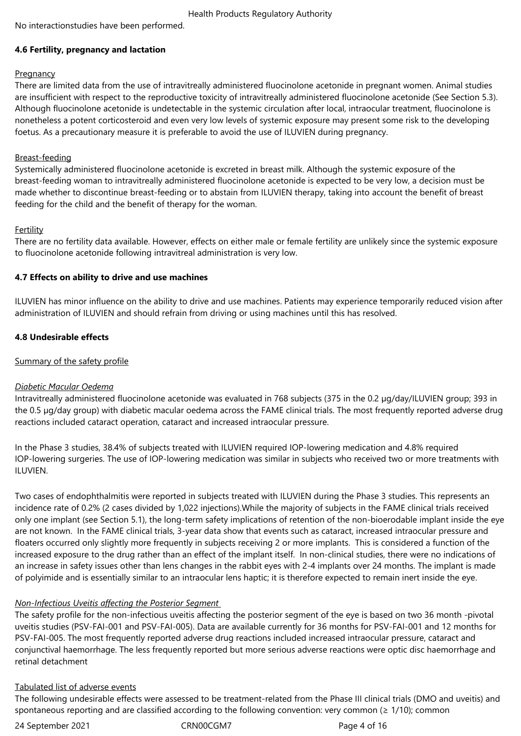No interactionstudies have been performed.

## **4.6 Fertility, pregnancy and lactation**

## **Pregnancy**

There are limited data from the use of intravitreally administered fluocinolone acetonide in pregnant women. Animal studies are insufficient with respect to the reproductive toxicity of intravitreally administered fluocinolone acetonide (See Section 5.3). Although fluocinolone acetonide is undetectable in the systemic circulation after local, intraocular treatment, fluocinolone is nonetheless a potent corticosteroid and even very low levels of systemic exposure may present some risk to the developing foetus. As a precautionary measure it is preferable to avoid the use of ILUVIEN during pregnancy.

## Breast-feeding

Systemically administered fluocinolone acetonide is excreted in breast milk. Although the systemic exposure of the breast-feeding woman to intravitreally administered fluocinolone acetonide is expected to be very low, a decision must be made whether to discontinue breast-feeding or to abstain from ILUVIEN therapy, taking into account the benefit of breast feeding for the child and the benefit of therapy for the woman.

## Fertility

There are no fertility data available. However, effects on either male or female fertility are unlikely since the systemic exposure to fluocinolone acetonide following intravitreal administration is very low.

## **4.7 Effects on ability to drive and use machines**

ILUVIEN has minor influence on the ability to drive and use machines. Patients may experience temporarily reduced vision after administration of ILUVIEN and should refrain from driving or using machines until this has resolved.

## **4.8 Undesirable effects**

## Summary of the safety profile

## *Diabetic Macular Oedema*

Intravitreally administered fluocinolone acetonide was evaluated in 768 subjects (375 in the 0.2 µg/day/ILUVIEN group; 393 in the 0.5 µg/day group) with diabetic macular oedema across the FAME clinical trials. The most frequently reported adverse drug reactions included cataract operation, cataract and increased intraocular pressure.

In the Phase 3 studies, 38.4% of subjects treated with ILUVIEN required IOP-lowering medication and 4.8% required IOP-lowering surgeries. The use of IOP-lowering medication was similar in subjects who received two or more treatments with ILUVIEN.

Two cases of endophthalmitis were reported in subjects treated with ILUVIEN during the Phase 3 studies. This represents an incidence rate of 0.2% (2 cases divided by 1,022 injections).While the majority of subjects in the FAME clinical trials received only one implant (see Section 5.1), the long-term safety implications of retention of the non-bioerodable implant inside the eye are not known. In the FAME clinical trials, 3-year data show that events such as cataract, increased intraocular pressure and floaters occurred only slightly more frequently in subjects receiving 2 or more implants. This is considered a function of the increased exposure to the drug rather than an effect of the implant itself. In non-clinical studies, there were no indications of an increase in safety issues other than lens changes in the rabbit eyes with 2-4 implants over 24 months. The implant is made of polyimide and is essentially similar to an intraocular lens haptic; it is therefore expected to remain inert inside the eye.

## *Non-Infectious Uveitis affecting the Posterior Segment*

The safety profile for the non-infectious uveitis affecting the posterior segment of the eye is based on two 36 month -pivotal uveitis studies (PSV-FAI-001 and PSV-FAI-005). Data are available currently for 36 months for PSV-FAI-001 and 12 months for PSV-FAI-005. The most frequently reported adverse drug reactions included increased intraocular pressure, cataract and conjunctival haemorrhage. The less frequently reported but more serious adverse reactions were optic disc haemorrhage and retinal detachment

## Tabulated list of adverse events

The following undesirable effects were assessed to be treatment-related from the Phase III clinical trials (DMO and uveitis) and spontaneous reporting and are classified according to the following convention: very common (≥ 1/10); common

24 September 2021 CRN00CGM7 Page 4 of 16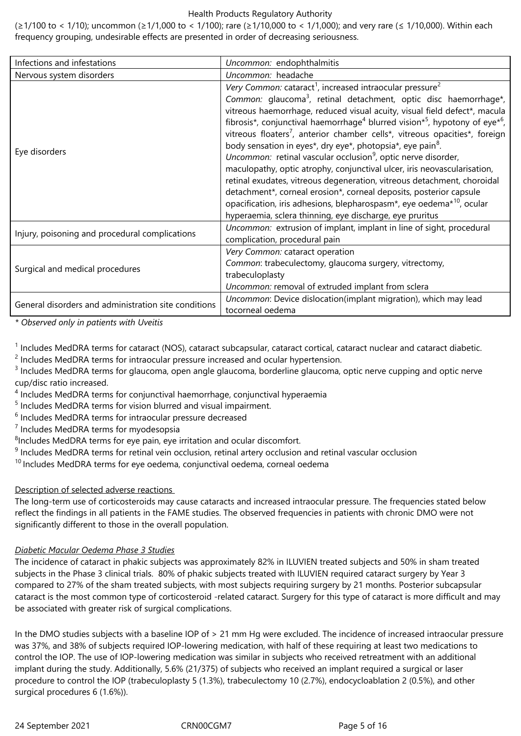(≥1/100 to < 1/10); uncommon (≥1/1,000 to < 1/100); rare (≥1/10,000 to < 1/1,000); and very rare (≤ 1/10,000). Within each frequency grouping, undesirable effects are presented in order of decreasing seriousness.

| Infections and infestations                          | Uncommon: endophthalmitis                                                                                                                                                                                                                                                                                                                                                                                                                                                                                                                                                                                                                                                                                                                                                                                                                                                                                                                                                                       |
|------------------------------------------------------|-------------------------------------------------------------------------------------------------------------------------------------------------------------------------------------------------------------------------------------------------------------------------------------------------------------------------------------------------------------------------------------------------------------------------------------------------------------------------------------------------------------------------------------------------------------------------------------------------------------------------------------------------------------------------------------------------------------------------------------------------------------------------------------------------------------------------------------------------------------------------------------------------------------------------------------------------------------------------------------------------|
| Nervous system disorders                             | Uncommon: headache                                                                                                                                                                                                                                                                                                                                                                                                                                                                                                                                                                                                                                                                                                                                                                                                                                                                                                                                                                              |
| Eye disorders                                        | Very Common: cataract <sup>1</sup> , increased intraocular pressure <sup>2</sup><br>Common: glaucoma <sup>3</sup> , retinal detachment, optic disc haemorrhage*,<br>vitreous haemorrhage, reduced visual acuity, visual field defect*, macula<br>fibrosis*, conjunctival haemorrhage <sup>4</sup> blurred vision* <sup>5</sup> , hypotony of eye <sup>*6</sup> ,<br>vitreous floaters <sup>7</sup> , anterior chamber cells*, vitreous opacities*, foreign<br>body sensation in eyes*, dry eye*, photopsia*, eye pain <sup>8</sup> .<br>Uncommon: retinal vascular occlusion <sup>9</sup> , optic nerve disorder,<br>maculopathy, optic atrophy, conjunctival ulcer, iris neovascularisation,<br>retinal exudates, vitreous degeneration, vitreous detachment, choroidal<br>detachment*, corneal erosion*, corneal deposits, posterior capsule<br>opacification, iris adhesions, blepharospasm*, eye oedema* <sup>10</sup> , ocular<br>hyperaemia, sclera thinning, eye discharge, eye pruritus |
| Injury, poisoning and procedural complications       | Uncommon: extrusion of implant, implant in line of sight, procedural<br>complication, procedural pain                                                                                                                                                                                                                                                                                                                                                                                                                                                                                                                                                                                                                                                                                                                                                                                                                                                                                           |
| Surgical and medical procedures                      | Very Common: cataract operation<br>Common: trabeculectomy, glaucoma surgery, vitrectomy,<br>trabeculoplasty<br>Uncommon: removal of extruded implant from sclera                                                                                                                                                                                                                                                                                                                                                                                                                                                                                                                                                                                                                                                                                                                                                                                                                                |
| General disorders and administration site conditions | Uncommon: Device dislocation(implant migration), which may lead<br>tocorneal oedema                                                                                                                                                                                                                                                                                                                                                                                                                                                                                                                                                                                                                                                                                                                                                                                                                                                                                                             |

*\* Observed only in patients with Uveitis*

<sup>1</sup> Includes MedDRA terms for cataract (NOS), cataract subcapsular, cataract cortical, cataract nuclear and cataract diabetic.

 $2$  Includes MedDRA terms for intraocular pressure increased and ocular hypertension.

 $3$  Includes MedDRA terms for glaucoma, open angle glaucoma, borderline glaucoma, optic nerve cupping and optic nerve cup/disc ratio increased.

<sup>4</sup> Includes MedDRA terms for conjunctival haemorrhage, conjunctival hyperaemia

<sup>5</sup> Includes MedDRA terms for vision blurred and visual impairment.

 $6$  Includes MedDRA terms for intraocular pressure decreased

<sup>7</sup> Includes MedDRA terms for myodesopsia

 ${}^{8}$ Includes MedDRA terms for eye pain, eye irritation and ocular discomfort.

<sup>9</sup> Includes MedDRA terms for retinal vein occlusion, retinal artery occlusion and retinal vascular occlusion

 $10$  Includes MedDRA terms for eye oedema, conjunctival oedema, corneal oedema

## Description of selected adverse reactions

The long-term use of corticosteroids may cause cataracts and increased intraocular pressure. The frequencies stated below reflect the findings in all patients in the FAME studies. The observed frequencies in patients with chronic DMO were not significantly different to those in the overall population.

## *Diabetic Macular Oedema Phase 3 Studies*

The incidence of cataract in phakic subjects was approximately 82% in ILUVIEN treated subjects and 50% in sham treated subjects in the Phase 3 clinical trials. 80% of phakic subjects treated with ILUVIEN required cataract surgery by Year 3 compared to 27% of the sham treated subjects, with most subjects requiring surgery by 21 months. Posterior subcapsular cataract is the most common type of corticosteroid -related cataract. Surgery for this type of cataract is more difficult and may be associated with greater risk of surgical complications.

In the DMO studies subjects with a baseline IOP of > 21 mm Hg were excluded. The incidence of increased intraocular pressure was 37%, and 38% of subjects required IOP-lowering medication, with half of these requiring at least two medications to control the IOP. The use of IOP-lowering medication was similar in subjects who received retreatment with an additional implant during the study. Additionally, 5.6% (21/375) of subjects who received an implant required a surgical or laser procedure to control the IOP (trabeculoplasty 5 (1.3%), trabeculectomy 10 (2.7%), endocycloablation 2 (0.5%), and other surgical procedures 6 (1.6%)).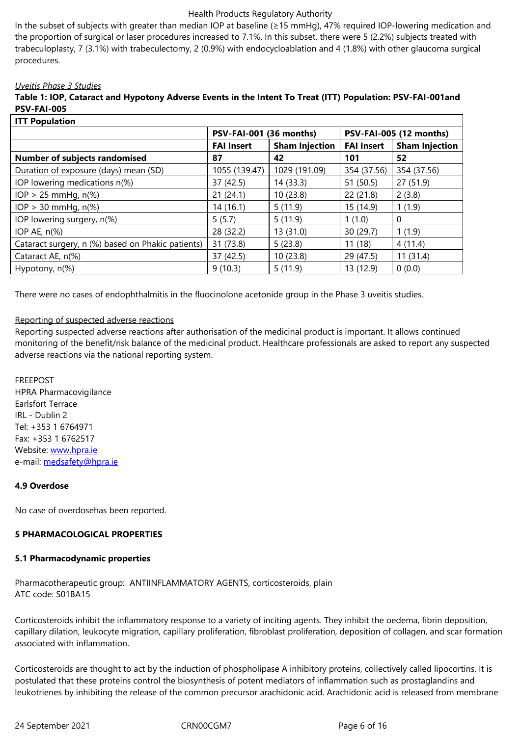trabeculoplasty, 7 (3.1%) with trabeculectomy, 2 (0.9%) with endocycloablation and 4 (1.8%) with other glaucoma surgical procedures.

#### *Uveitis Phase 3 Studies*

| Table 1: IOP, Cataract and Hypotony Adverse Events in the Intent To Treat (ITT) Population: PSV-FAI-001and |
|------------------------------------------------------------------------------------------------------------|
| <b>PSV-FAI-005</b>                                                                                         |
|                                                                                                            |

| <b>ITT Population</b>                             |                         |                       |                         |                       |
|---------------------------------------------------|-------------------------|-----------------------|-------------------------|-----------------------|
|                                                   | PSV-FAI-001 (36 months) |                       | PSV-FAI-005 (12 months) |                       |
|                                                   | <b>FAI Insert</b>       | <b>Sham Injection</b> | <b>FAI Insert</b>       | <b>Sham Injection</b> |
| <b>Number of subjects randomised</b>              | 87                      | 42                    | 101                     | 52                    |
| Duration of exposure (days) mean (SD)             | 1055 (139.47)           | 1029 (191.09)         | 354 (37.56)             | 354 (37.56)           |
| IOP lowering medications n(%)                     | 37 (42.5)               | 14 (33.3)             | 51 (50.5)               | 27(51.9)              |
| $IOP > 25$ mmHg, $n\%$                            | 21(24.1)                | 10(23.8)              | 22(21.8)                | 2(3.8)                |
| $IOP > 30$ mmHg, $n$ (%)                          | 14(16.1)                | 5(11.9)               | 15 (14.9)               | 1(1.9)                |
| IOP lowering surgery, n(%)                        | 5(5.7)                  | 5(11.9)               | 1(1.0)                  | $\theta$              |
| IOP AE, $n\%$ )                                   | 28 (32.2)               | 13 (31.0)             | 30 (29.7)               | 1(1.9)                |
| Cataract surgery, n (%) based on Phakic patients) | 31 (73.8)               | 5(23.8)               | 11(18)                  | 4(11.4)               |
| Cataract AE, n(%)                                 | 37 (42.5)               | 10(23.8)              | 29 (47.5)               | 11(31.4)              |
| Hypotony, n(%)                                    | 9(10.3)                 | 5(11.9)               | 13 (12.9)               | 0(0.0)                |

There were no cases of endophthalmitis in the fluocinolone acetonide group in the Phase 3 uveitis studies.

#### Reporting of suspected adverse reactions

Reporting suspected adverse reactions after authorisation of the medicinal product is important. It allows continued monitoring of the benefit/risk balance of the medicinal product. Healthcare professionals are asked to report any suspected adverse reactions via the national reporting system.

#### FREEPOST

HPRA Pharmacovigilance Earlsfort Terrace IRL - Dublin 2 Tel: +353 1 6764971 Fax: +353 1 6762517 Website: www.hpra.ie e-mail: medsafety@hpra.ie

#### **4.9 Over[dose](http://www.hpra.ie/)**

No cas[e of overdosehas be](mailto:medsafety@hpra.ie)en reported.

## **5 PHARMACOLOGICAL PROPERTIES**

#### **5.1 Pharmacodynamic properties**

Pharmacotherapeutic group: ANTIINFLAMMATORY AGENTS, corticosteroids, plain ATC code: S01BA15

Corticosteroids inhibit the inflammatory response to a variety of inciting agents. They inhibit the oedema, fibrin deposition, capillary dilation, leukocyte migration, capillary proliferation, fibroblast proliferation, deposition of collagen, and scar formation associated with inflammation.

Corticosteroids are thought to act by the induction of phospholipase A inhibitory proteins, collectively called lipocortins. It is postulated that these proteins control the biosynthesis of potent mediators of inflammation such as prostaglandins and leukotrienes by inhibiting the release of the common precursor arachidonic acid. Arachidonic acid is released from membrane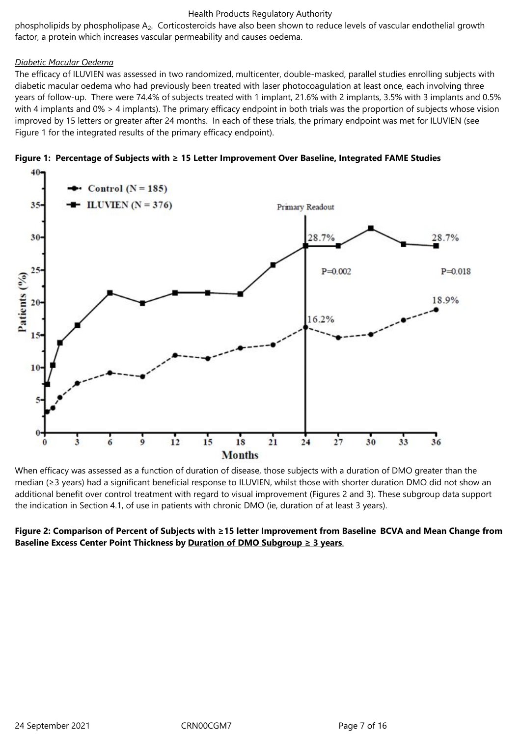phospholipids by phospholipase A2. Corticosteroids have also been shown to reduce levels of vascular endothelial growth factor, a protein which increases vascular permeability and causes oedema.

## *Diabetic Macular Oedema*

The efficacy of ILUVIEN was assessed in two randomized, multicenter, double-masked, parallel studies enrolling subjects with diabetic macular oedema who had previously been treated with laser photocoagulation at least once, each involving three years of follow-up. There were 74.4% of subjects treated with 1 implant, 21.6% with 2 implants, 3.5% with 3 implants and 0.5% with 4 implants and 0% > 4 implants). The primary efficacy endpoint in both trials was the proportion of subjects whose vision improved by 15 letters or greater after 24 months. In each of these trials, the primary endpoint was met for ILUVIEN (see Figure 1 for the integrated results of the primary efficacy endpoint).





When efficacy was assessed as a function of duration of disease, those subjects with a duration of DMO greater than the median (≥3 years) had a significant beneficial response to ILUVIEN, whilst those with shorter duration DMO did not show an additional benefit over control treatment with regard to visual improvement (Figures 2 and 3). These subgroup data support the indication in Section 4.1, of use in patients with chronic DMO (ie, duration of at least 3 years).

## **Figure 2: Comparison of Percent of Subjects with ≥15 letter Improvement from Baseline BCVA and Mean Change from Baseline Excess Center Point Thickness by Duration of DMO Subgroup ≥ 3 years**.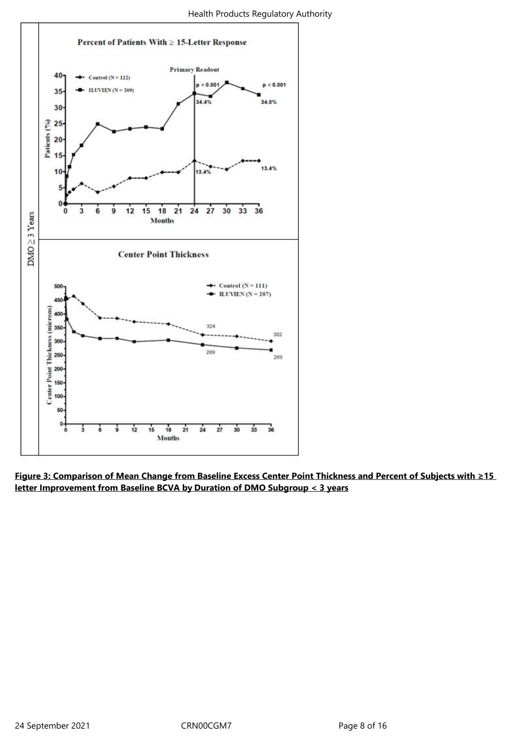

**Figure 3: Comparison of Mean Change from Baseline Excess Center Point Thickness and Percent of Subjects with ≥15 letter Improvement from Baseline BCVA by Duration of DMO Subgroup < 3 years**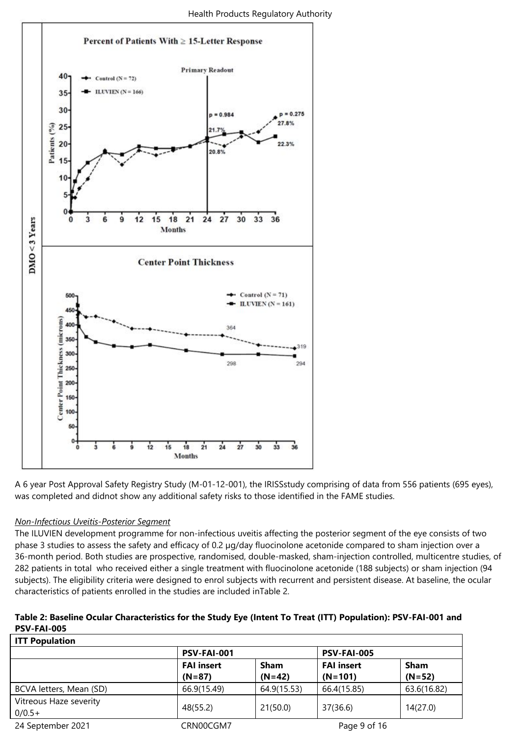

A 6 year Post Approval Safety Registry Study (M-01-12-001), the IRISSstudy comprising of data from 556 patients (695 eyes), was completed and didnot show any additional safety risks to those identified in the FAME studies.

## *Non-Infectious Uveitis-Posterior Segment*

The ILUVIEN development programme for non-infectious uveitis affecting the posterior segment of the eye consists of two phase 3 studies to assess the safety and efficacy of 0.2 µg/day fluocinolone acetonide compared to sham injection over a 36-month period. Both studies are prospective, randomised, double-masked, sham-injection controlled, multicentre studies, of 282 patients in total who received either a single treatment with fluocinolone acetonide (188 subjects) or sham injection (94 subjects). The eligibility criteria were designed to enrol subjects with recurrent and persistent disease. At baseline, the ocular characteristics of patients enrolled in the studies are included inTable 2.

| Table 2: Baseline Ocular Characteristics for the Study Eye (Intent To Treat (ITT) Population): PSV-FAI-001 and |  |
|----------------------------------------------------------------------------------------------------------------|--|
| <b>PSV-FAI-005</b>                                                                                             |  |

| <b>ITT Population</b>   |                   |             |                    |             |
|-------------------------|-------------------|-------------|--------------------|-------------|
|                         | PSV-FAI-001       |             | <b>PSV-FAI-005</b> |             |
|                         | <b>FAI insert</b> | Sham        | <b>FAI insert</b>  | Sham        |
|                         | $(N=87)$          | $(N=42)$    | $(N=101)$          | $(N=52)$    |
| BCVA letters, Mean (SD) | 66.9(15.49)       | 64.9(15.53) | 66.4(15.85)        | 63.6(16.82) |
| Vitreous Haze severity  | 48(55.2)          | 21(50.0)    | 37(36.6)           | 14(27.0)    |
| $0/0.5+$                |                   |             |                    |             |
| 24 September 2021       | CRN00CGM7         |             | Page 9 of 16       |             |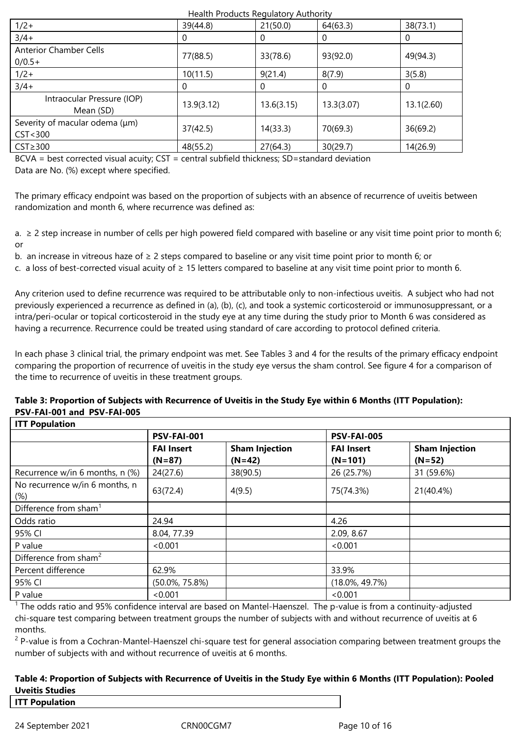| Health Products Regulatory Authority        |              |            |            |            |
|---------------------------------------------|--------------|------------|------------|------------|
| $1/2+$                                      | 39(44.8)     | 21(50.0)   | 64(63.3)   | 38(73.1)   |
| $3/4+$                                      | $\mathbf{U}$ |            | 0          |            |
| <b>Anterior Chamber Cells</b><br>$0/0.5+$   | 77(88.5)     | 33(78.6)   | 93(92.0)   | 49(94.3)   |
| $1/2+$                                      | 10(11.5)     | 9(21.4)    | 8(7.9)     | 3(5.8)     |
| $3/4+$                                      | 0            | O          | 0          | O          |
| Intraocular Pressure (IOP)<br>Mean (SD)     | 13.9(3.12)   | 13.6(3.15) | 13.3(3.07) | 13.1(2.60) |
| Severity of macular odema (µm)<br>CST < 300 | 37(42.5)     | 14(33.3)   | 70(69.3)   | 36(69.2)   |
| $CST \geq 300$                              | 48(55.2)     | 27(64.3)   | 30(29.7)   | 14(26.9)   |

BCVA = best corrected visual acuity; CST = central subfield thickness; SD=standard deviation Data are No. (%) except where specified.

The primary efficacy endpoint was based on the proportion of subjects with an absence of recurrence of uveitis between randomization and month 6, where recurrence was defined as:

a.  $\geq$  2 step increase in number of cells per high powered field compared with baseline or any visit time point prior to month 6; or

b. an increase in vitreous haze of ≥ 2 steps compared to baseline or any visit time point prior to month 6; or

c. a loss of best-corrected visual acuity of  $\geq 15$  letters compared to baseline at any visit time point prior to month 6.

Any criterion used to define recurrence was required to be attributable only to non-infectious uveitis. A subject who had not previously experienced a recurrence as defined in (a), (b), (c), and took a systemic corticosteroid or immunosuppressant, or a intra/peri-ocular or topical corticosteroid in the study eye at any time during the study prior to Month 6 was considered as having a recurrence. Recurrence could be treated using standard of care according to protocol defined criteria.

In each phase 3 clinical trial, the primary endpoint was met. See Tables 3 and 4 for the results of the primary efficacy endpoint comparing the proportion of recurrence of uveitis in the study eye versus the sham control. See figure 4 for a comparison of the time to recurrence of uveitis in these treatment groups.

#### **Table 3: Proportion of Subjects with Recurrence of Uveitis in the Study Eye within 6 Months (ITT Population): PSV-FAI-001 and PSV-FAI-005 ITT Population**

| <b>III rupulation</b>             |                    |                       |                    |                       |
|-----------------------------------|--------------------|-----------------------|--------------------|-----------------------|
|                                   | <b>PSV-FAI-001</b> |                       | <b>PSV-FAI-005</b> |                       |
|                                   | <b>FAI Insert</b>  | <b>Sham Injection</b> | <b>FAI Insert</b>  | <b>Sham Injection</b> |
|                                   | $(N=87)$           | $(N=42)$              | $(N=101)$          | $(N=52)$              |
| Recurrence w/in 6 months, n (%)   | 24(27.6)           | 38(90.5)              | 26 (25.7%)         | 31 (59.6%)            |
| No recurrence w/in 6 months, n    | 63(72.4)           | 4(9.5)                | 75(74.3%)          | 21(40.4%)             |
| $(\%)$                            |                    |                       |                    |                       |
| Difference from sham <sup>1</sup> |                    |                       |                    |                       |
| Odds ratio                        | 24.94              |                       | 4.26               |                       |
| 95% CI                            | 8.04, 77.39        |                       | 2.09, 8.67         |                       |
| P value                           | < 0.001            |                       | < 0.001            |                       |
| Difference from sham <sup>2</sup> |                    |                       |                    |                       |
| Percent difference                | 62.9%              |                       | 33.9%              |                       |
| 95% CI                            | $(50.0\%, 75.8\%)$ |                       | $(18.0\%, 49.7\%)$ |                       |
| P value                           | < 0.001            |                       | <0.001             |                       |

 $1$  The odds ratio and 95% confidence interval are based on Mantel-Haenszel. The p-value is from a continuity-adjusted chi-square test comparing between treatment groups the number of subjects with and without recurrence of uveitis at 6 months.

<sup>2</sup> P-value is from a Cochran-Mantel-Haenszel chi-square test for general association comparing between treatment groups the number of subjects with and without recurrence of uveitis at 6 months.

## **Table 4: Proportion of Subjects with Recurrence of Uveitis in the Study Eye within 6 Months (ITT Population): Pooled Uveitis Studies**

## **ITT Population**

24 September 2021 CRN00CGM7 Page 10 of 16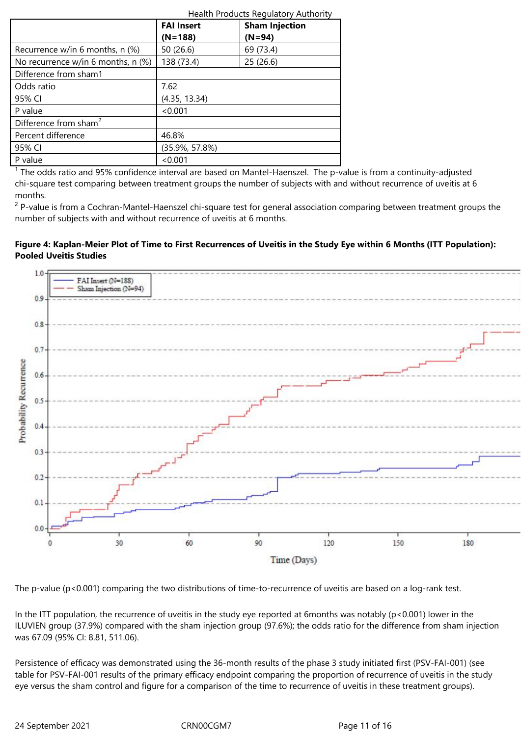|                                    | Health Products Regulatory Authority       |           |  |  |
|------------------------------------|--------------------------------------------|-----------|--|--|
|                                    | <b>Sham Injection</b><br><b>FAI Insert</b> |           |  |  |
|                                    | $(N=188)$                                  | $(N=94)$  |  |  |
| Recurrence w/in 6 months, $n$ (%)  | 50 (26.6)                                  | 69 (73.4) |  |  |
| No recurrence w/in 6 months, n (%) | 138 (73.4)                                 | 25(26.6)  |  |  |
| Difference from sham1              |                                            |           |  |  |
| Odds ratio                         | 7.62                                       |           |  |  |
| 95% CI                             | (4.35, 13.34)                              |           |  |  |
| P value                            | < 0.001                                    |           |  |  |
| Difference from sham <sup>2</sup>  |                                            |           |  |  |
| Percent difference                 | 46.8%                                      |           |  |  |
| 95% CI                             | $(35.9\%, 57.8\%)$                         |           |  |  |
| P value                            | < 0.001                                    |           |  |  |

 $1$  The odds ratio and 95% confidence interval are based on Mantel-Haenszel. The p-value is from a continuity-adjusted chi-square test comparing between treatment groups the number of subjects with and without recurrence of uveitis at 6 months.

<sup>2</sup> P-value is from a Cochran-Mantel-Haenszel chi-square test for general association comparing between treatment groups the number of subjects with and without recurrence of uveitis at 6 months.

## **Figure 4: Kaplan-Meier Plot of Time to First Recurrences of Uveitis in the Study Eye within 6 Months (ITT Population): Pooled Uveitis Studies**



The p-value (p<0.001) comparing the two distributions of time-to-recurrence of uveitis are based on a log-rank test.

In the ITT population, the recurrence of uveitis in the study eye reported at 6months was notably ( $p$ <0.001) lower in the ILUVIEN group (37.9%) compared with the sham injection group (97.6%); the odds ratio for the difference from sham injection was 67.09 (95% CI: 8.81, 511.06).

Persistence of efficacy was demonstrated using the 36-month results of the phase 3 study initiated first (PSV-FAI-001) (see table for PSV-FAI-001 results of the primary efficacy endpoint comparing the proportion of recurrence of uveitis in the study eye versus the sham control and figure for a comparison of the time to recurrence of uveitis in these treatment groups).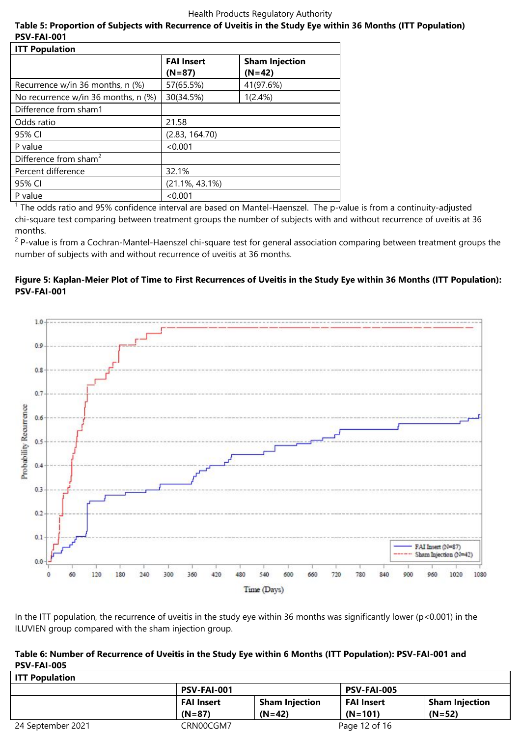## **Table 5: Proportion of Subjects with Recurrence of Uveitis in the Study Eye within 36 Months (ITT Population) PSV-FAI-001**

| <b>ITT Population</b>                 |                    |                       |
|---------------------------------------|--------------------|-----------------------|
|                                       | <b>FAI Insert</b>  | <b>Sham Injection</b> |
|                                       | $(N=87)$           | $(N=42)$              |
| Recurrence $w/in 36$ months, n $(\%)$ | 57(65.5%)          | 41(97.6%)             |
| No recurrence w/in 36 months, n (%)   | 30(34.5%)          | 1(2.4%)               |
| Difference from sham1                 |                    |                       |
| Odds ratio                            | 21.58              |                       |
| 95% CI                                | (2.83, 164.70)     |                       |
| P value                               | < 0.001            |                       |
| Difference from sham <sup>2</sup>     |                    |                       |
| Percent difference                    | 32.1%              |                       |
| 95% CI                                | $(21.1\%, 43.1\%)$ |                       |
| P value                               | < 0.001            |                       |

<sup>1</sup> The odds ratio and 95% confidence interval are based on Mantel-Haenszel. The p-value is from a continuity-adjusted chi-square test comparing between treatment groups the number of subjects with and without recurrence of uveitis at 36 months.

<sup>2</sup> P-value is from a Cochran-Mantel-Haenszel chi-square test for general association comparing between treatment groups the number of subjects with and without recurrence of uveitis at 36 months.

## **Figure 5: Kaplan-Meier Plot of Time to First Recurrences of Uveitis in the Study Eye within 36 Months (ITT Population): PSV-FAI-001**



In the ITT population, the recurrence of uveitis in the study eye within 36 months was significantly lower (p<0.001) in the ILUVIEN group compared with the sham injection group.

## **Table 6: Number of Recurrence of Uveitis in the Study Eye within 6 Months (ITT Population): PSV-FAI-001 and PSV-FAI-005**

| <b>ITT Population</b> |                    |                       |                    |                       |
|-----------------------|--------------------|-----------------------|--------------------|-----------------------|
|                       | <b>PSV-FAI-001</b> |                       | <b>PSV-FAI-005</b> |                       |
|                       | <b>FAI Insert</b>  | <b>Sham Injection</b> | <b>FAI Insert</b>  | <b>Sham Injection</b> |
|                       | $(N=87)$           | $(N=42)$              | $(N=101)$          | $(N=52)$              |
| 24 September 2021     | CRN00CGM7          |                       | Page 12 of 16      |                       |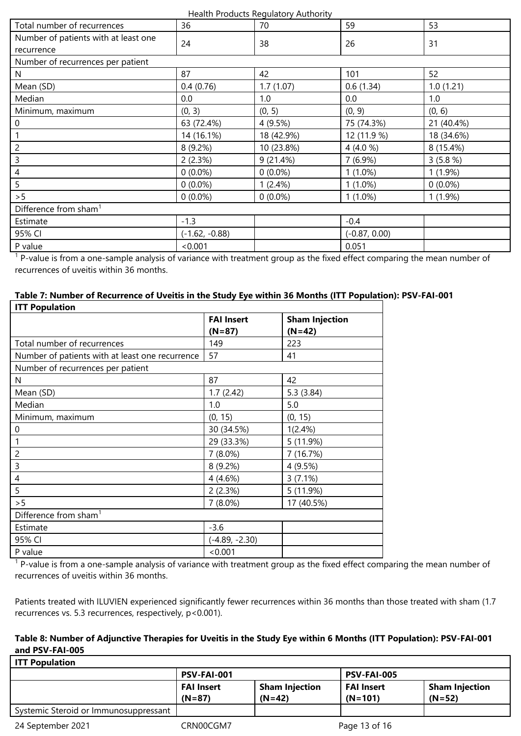| Total number of recurrences                        | 36               | $r = 100$<br>70 | 59              | 53         |  |
|----------------------------------------------------|------------------|-----------------|-----------------|------------|--|
| Number of patients with at least one<br>recurrence | 24               | 38              | 26              | 31         |  |
| Number of recurrences per patient                  |                  |                 |                 |            |  |
| N                                                  | 87               | 42              | 101             | 52         |  |
| Mean (SD)                                          | 0.4(0.76)        | 1.7(1.07)       | 0.6(1.34)       | 1.0(1.21)  |  |
| Median                                             | 0.0              | 1.0             | 0.0             | 1.0        |  |
| Minimum, maximum                                   | (0, 3)           | (0, 5)          | (0, 9)          | (0, 6)     |  |
| 0                                                  | 63 (72.4%)       | 4 (9.5%)        | 75 (74.3%)      | 21 (40.4%) |  |
|                                                    | 14 (16.1%)       | 18 (42.9%)      | 12 (11.9 %)     | 18 (34.6%) |  |
| $\overline{c}$                                     | 8 (9.2%)         | 10 (23.8%)      | 4 $(4.0 %)$     | 8 (15.4%)  |  |
| 3                                                  | 2(2.3%)          | 9(21.4%)        | 7(6.9%)         | 3(5.8%)    |  |
| 4                                                  | $0(0.0\%)$       | $0(0.0\%)$      | $1(1.0\%)$      | $1(1.9\%)$ |  |
| 5                                                  | $0(0.0\%)$       | 1(2.4%)         | $1(1.0\%)$      | $0(0.0\%)$ |  |
| > 5                                                | $0(0.0\%)$       | $0(0.0\%)$      | $1(1.0\%)$      | $1(1.9\%)$ |  |
| Difference from sham <sup>1</sup>                  |                  |                 |                 |            |  |
| Estimate                                           | $-1.3$           |                 | $-0.4$          |            |  |
| 95% CI                                             | $(-1.62, -0.88)$ |                 | $(-0.87, 0.00)$ |            |  |
| P value                                            | < 0.001          |                 | 0.051           |            |  |

<sup>1</sup> P-value is from a one-sample analysis of variance with treatment group as the fixed effect comparing the mean number of recurrences of uveitis within 36 months.

| Table 7: Number of Recurrence of Uveitis in the Study Eye within 36 Months (ITT Population): PSV-FAI-001 |  |
|----------------------------------------------------------------------------------------------------------|--|
| <b>ITT Population</b>                                                                                    |  |

| <b>III</b> Population                           |                               |                                   |  |  |
|-------------------------------------------------|-------------------------------|-----------------------------------|--|--|
|                                                 | <b>FAI Insert</b><br>$(N=87)$ | <b>Sham Injection</b><br>$(N=42)$ |  |  |
| Total number of recurrences                     | 149                           | 223                               |  |  |
| Number of patients with at least one recurrence | 57                            | 41                                |  |  |
| Number of recurrences per patient               |                               |                                   |  |  |
| N                                               | 87                            | 42                                |  |  |
| Mean (SD)                                       | 1.7(2.42)                     | 5.3(3.84)                         |  |  |
| Median                                          | 1.0                           | 5.0                               |  |  |
| Minimum, maximum                                | (0, 15)                       | (0, 15)                           |  |  |
| $\pmb{0}$                                       | 30 (34.5%)                    | 1(2.4%)                           |  |  |
| 1                                               | 29 (33.3%)                    | 5(11.9%)                          |  |  |
| 2                                               | $7(8.0\%)$                    | 7 (16.7%)                         |  |  |
| 3                                               | 8 (9.2%)                      | 4 (9.5%)                          |  |  |
| 4                                               | 4(4.6%)                       | 3(7.1%)                           |  |  |
| 5                                               | 2(2.3%)                       | 5(11.9%)                          |  |  |
| > 5                                             | $7(8.0\%)$                    | 17 (40.5%)                        |  |  |
| Difference from sham <sup>1</sup>               |                               |                                   |  |  |
| Estimate                                        | $-3.6$                        |                                   |  |  |
| 95% CI                                          | $(-4.89, -2.30)$              |                                   |  |  |
| P value                                         | < 0.001                       |                                   |  |  |
|                                                 |                               |                                   |  |  |

<sup>1</sup> P-value is from a one-sample analysis of variance with treatment group as the fixed effect comparing the mean number of recurrences of uveitis within 36 months.

Patients treated with ILUVIEN experienced significantly fewer recurrences within 36 months than those treated with sham (1.7 recurrences vs. 5.3 recurrences, respectively, p<0.001).

## **Table 8: Number of Adjunctive Therapies for Uveitis in the Study Eye within 6 Months (ITT Population): PSV-FAI-001 and PSV-FAI-005**

| <b>ITT Population</b>                 |                               |                                   |                                |                                   |  |
|---------------------------------------|-------------------------------|-----------------------------------|--------------------------------|-----------------------------------|--|
|                                       | <b>PSV-FAI-001</b>            |                                   | <b>PSV-FAI-005</b>             |                                   |  |
|                                       | <b>FAI Insert</b><br>$(N=87)$ | <b>Sham Injection</b><br>$(N=42)$ | <b>FAI Insert</b><br>$(N=101)$ | <b>Sham Injection</b><br>$(N=52)$ |  |
| Systemic Steroid or Immunosuppressant |                               |                                   |                                |                                   |  |
| 24 September 2021                     | CRN00CGM7                     |                                   | Page 13 of 16                  |                                   |  |

٦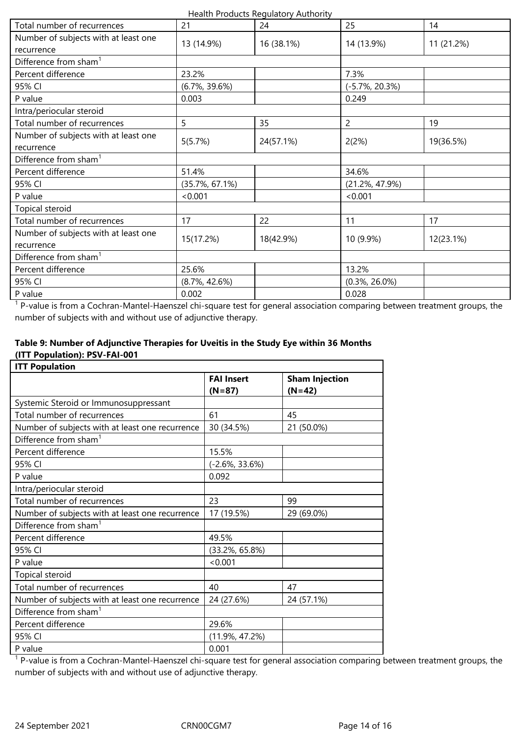| Health Products Regulatory Authority |
|--------------------------------------|
|--------------------------------------|

| Total number of recurrences          | 21                       | 24        | 25                 | 14         |
|--------------------------------------|--------------------------|-----------|--------------------|------------|
| Number of subjects with at least one |                          |           |                    |            |
| recurrence                           | 13 (14.9%)<br>16 (38.1%) |           | 14 (13.9%)         | 11 (21.2%) |
| Difference from sham <sup>1</sup>    |                          |           |                    |            |
| Percent difference                   | 23.2%                    |           | 7.3%               |            |
| 95% CI                               | $(6.7\%, 39.6\%)$        |           | $(-5.7\%, 20.3\%)$ |            |
| P value                              | 0.003                    |           | 0.249              |            |
| Intra/periocular steroid             |                          |           |                    |            |
| Total number of recurrences          | 5                        | 35        | $\overline{2}$     | 19         |
| Number of subjects with at least one |                          |           |                    |            |
| recurrence                           | 5(5.7%)<br>24(57.1%)     |           | 2(2%)              | 19(36.5%)  |
| Difference from sham <sup>1</sup>    |                          |           |                    |            |
| Percent difference                   | 51.4%                    |           | 34.6%              |            |
| 95% CI                               | $(35.7\%, 67.1\%)$       |           | $(21.2\%, 47.9\%)$ |            |
| P value                              | < 0.001                  |           | < 0.001            |            |
| Topical steroid                      |                          |           |                    |            |
| Total number of recurrences          | 17                       | 22        | 11                 | 17         |
| Number of subjects with at least one |                          |           |                    |            |
| recurrence                           | 15(17.2%)                | 18(42.9%) | 10 (9.9%)          | 12(23.1%)  |
| Difference from sham <sup>1</sup>    |                          |           |                    |            |
| Percent difference                   | 25.6%                    |           | 13.2%              |            |
| 95% CI                               | $(8.7\%, 42.6\%)$        |           | $(0.3\%, 26.0\%)$  |            |
| P value                              | 0.002                    |           | 0.028              |            |

<sup>1</sup> P-value is from a Cochran-Mantel-Haenszel chi-square test for general association comparing between treatment groups, the number of subjects with and without use of adjunctive therapy.

## **Table 9: Number of Adjunctive Therapies for Uveitis in the Study Eye within 36 Months (ITT Population): PSV-FAI-001**

| <b>ITT Population</b>                           |                    |                       |  |
|-------------------------------------------------|--------------------|-----------------------|--|
|                                                 | <b>FAI Insert</b>  | <b>Sham Injection</b> |  |
|                                                 | $(N=87)$           | $(N=42)$              |  |
| Systemic Steroid or Immunosuppressant           |                    |                       |  |
| Total number of recurrences                     | 61                 | 45                    |  |
| Number of subjects with at least one recurrence | 30 (34.5%)         | 21 (50.0%)            |  |
| Difference from sham <sup>1</sup>               |                    |                       |  |
| Percent difference                              | 15.5%              |                       |  |
| 95% CI                                          | $(-2.6\%, 33.6\%)$ |                       |  |
| P value                                         | 0.092              |                       |  |
| Intra/periocular steroid                        |                    |                       |  |
| Total number of recurrences                     | 23                 | 99                    |  |
| Number of subjects with at least one recurrence | 17 (19.5%)         | 29 (69.0%)            |  |
| Difference from sham <sup>1</sup>               |                    |                       |  |
| Percent difference                              | 49.5%              |                       |  |
| 95% CI                                          | $(33.2\%, 65.8\%)$ |                       |  |
| P value                                         | < 0.001            |                       |  |
| Topical steroid                                 |                    |                       |  |
| Total number of recurrences                     | 40                 | 47                    |  |
| Number of subjects with at least one recurrence | 24 (27.6%)         | 24 (57.1%)            |  |
| Difference from sham <sup>1</sup>               |                    |                       |  |
| Percent difference                              | 29.6%              |                       |  |
| 95% CI                                          | $(11.9\%, 47.2\%)$ |                       |  |
| P value                                         | 0.001              |                       |  |

<sup>1</sup> P-value is from a Cochran-Mantel-Haenszel chi-square test for general association comparing between treatment groups, the number of subjects with and without use of adjunctive therapy.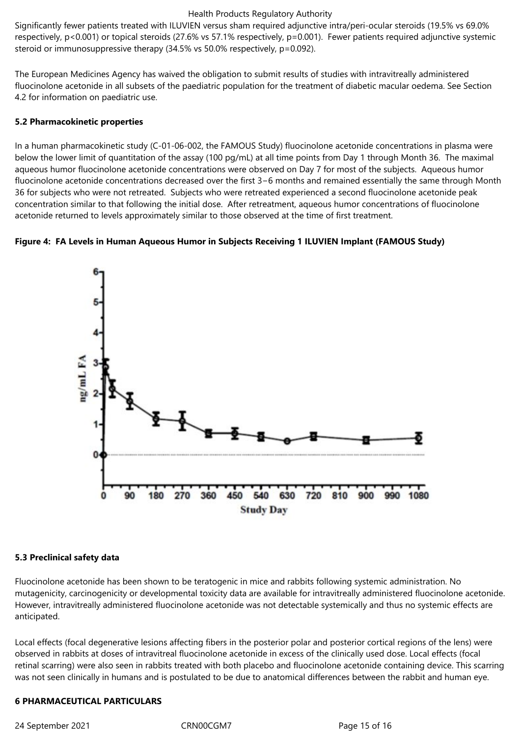Significantly fewer patients treated with ILUVIEN versus sham required adjunctive intra/peri-ocular steroids (19.5% vs 69.0% respectively, p<0.001) or topical steroids (27.6% vs 57.1% respectively, p=0.001). Fewer patients required adjunctive systemic steroid or immunosuppressive therapy (34.5% vs 50.0% respectively, p=0.092).

The European Medicines Agency has waived the obligation to submit results of studies with intravitreally administered fluocinolone acetonide in all subsets of the paediatric population for the treatment of diabetic macular oedema. See Section 4.2 for information on paediatric use.

#### **5.2 Pharmacokinetic properties**

In a human pharmacokinetic study (C-01-06-002, the FAMOUS Study) fluocinolone acetonide concentrations in plasma were below the lower limit of quantitation of the assay (100 pg/mL) at all time points from Day 1 through Month 36. The maximal aqueous humor fluocinolone acetonide concentrations were observed on Day 7 for most of the subjects. Aqueous humor fluocinolone acetonide concentrations decreased over the first 3−6 months and remained essentially the same through Month 36 for subjects who were not retreated. Subjects who were retreated experienced a second fluocinolone acetonide peak concentration similar to that following the initial dose. After retreatment, aqueous humor concentrations of fluocinolone acetonide returned to levels approximately similar to those observed at the time of first treatment.

#### **Figure 4: FA Levels in Human Aqueous Humor in Subjects Receiving 1 ILUVIEN Implant (FAMOUS Study)**



#### **5.3 Preclinical safety data**

Fluocinolone acetonide has been shown to be teratogenic in mice and rabbits following systemic administration. No mutagenicity, carcinogenicity or developmental toxicity data are available for intravitreally administered fluocinolone acetonide. However, intravitreally administered fluocinolone acetonide was not detectable systemically and thus no systemic effects are anticipated.

Local effects (focal degenerative lesions affecting fibers in the posterior polar and posterior cortical regions of the lens) were observed in rabbits at doses of intravitreal fluocinolone acetonide in excess of the clinically used dose. Local effects (focal retinal scarring) were also seen in rabbits treated with both placebo and fluocinolone acetonide containing device. This scarring was not seen clinically in humans and is postulated to be due to anatomical differences between the rabbit and human eye.

#### **6 PHARMACEUTICAL PARTICULARS**

24 September 2021 CRN00CGM7 Page 15 of 16